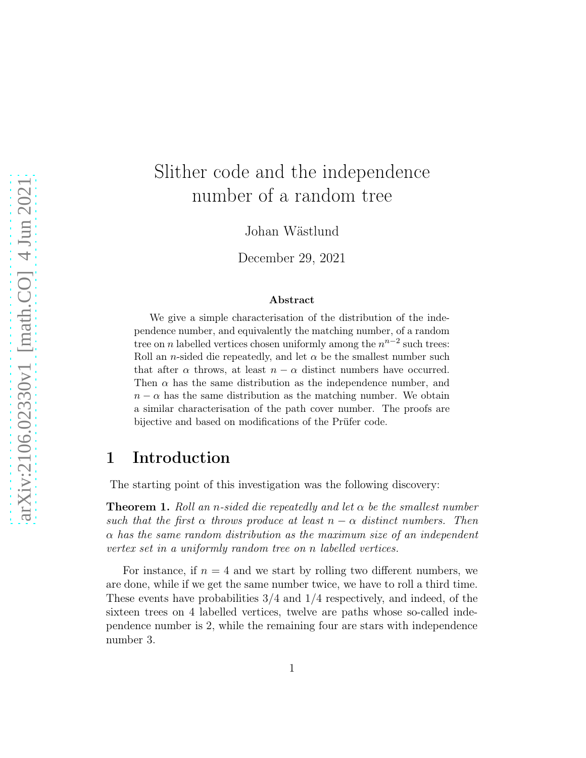# Slither code and the independence number of a random tree

Johan Wästlund

December 29, 2021

#### Abstract

We give a simple characterisation of the distribution of the independence number, and equivalently the matching number, of a random tree on *n* labelled vertices chosen uniformly among the  $n^{n-2}$  such trees: Roll an *n*-sided die repeatedly, and let  $\alpha$  be the smallest number such that after  $\alpha$  throws, at least  $n - \alpha$  distinct numbers have occurred. Then  $\alpha$  has the same distribution as the independence number, and  $n - \alpha$  has the same distribution as the matching number. We obtain a similar characterisation of the path cover number. The proofs are bijective and based on modifications of the Prüfer code.

### 1 Introduction

The starting point of this investigation was the following discovery:

<span id="page-0-0"></span>**Theorem 1.** Roll an n-sided die repeatedly and let  $\alpha$  be the smallest number such that the first  $\alpha$  throws produce at least  $n - \alpha$  distinct numbers. Then  $\alpha$  has the same random distribution as the maximum size of an independent vertex set in a uniformly random tree on n labelled vertices.

For instance, if  $n = 4$  and we start by rolling two different numbers, we are done, while if we get the same number twice, we have to roll a third time. These events have probabilities 3/4 and 1/4 respectively, and indeed, of the sixteen trees on 4 labelled vertices, twelve are paths whose so-called independence number is 2, while the remaining four are stars with independence number 3.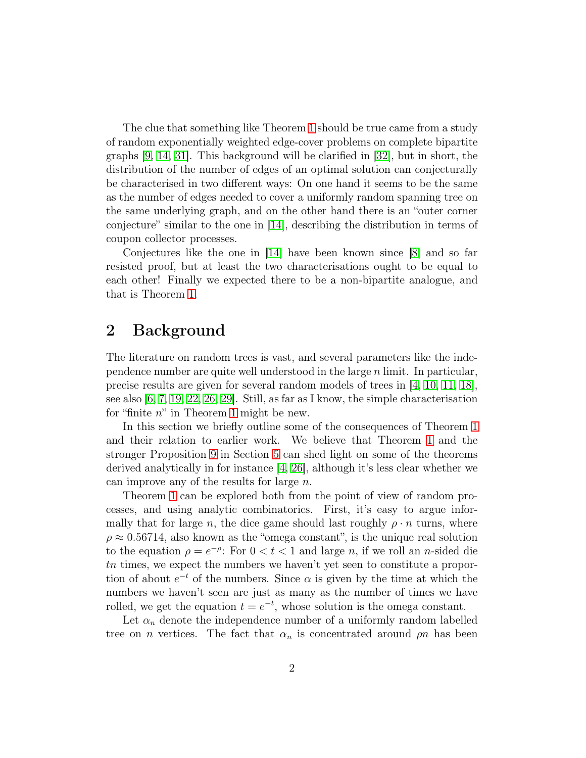The clue that something like Theorem [1](#page-0-0) should be true came from a study of random exponentially weighted edge-cover problems on complete bipartite graphs [\[9,](#page-17-0) [14,](#page-17-1) [31\]](#page-19-0). This background will be clarified in [\[32\]](#page-19-1), but in short, the distribution of the number of edges of an optimal solution can conjecturally be characterised in two different ways: On one hand it seems to be the same as the number of edges needed to cover a uniformly random spanning tree on the same underlying graph, and on the other hand there is an "outer corner conjecture" similar to the one in [\[14\]](#page-17-1), describing the distribution in terms of coupon collector processes.

Conjectures like the one in [\[14\]](#page-17-1) have been known since [\[8\]](#page-17-2) and so far resisted proof, but at least the two characterisations ought to be equal to each other! Finally we expected there to be a non-bipartite analogue, and that is Theorem [1.](#page-0-0)

### 2 Background

The literature on random trees is vast, and several parameters like the independence number are quite well understood in the large n limit. In particular, precise results are given for several random models of trees in [\[4,](#page-17-3) [10,](#page-17-4) [11,](#page-17-5) [18\]](#page-18-0), see also [\[6,](#page-17-6) [7,](#page-17-7) [19,](#page-18-1) [22,](#page-18-2) [26,](#page-18-3) [29\]](#page-19-2). Still, as far as I know, the simple characterisation for "finite  $n$ " in Theorem [1](#page-0-0) might be new.

In this section we briefly outline some of the consequences of Theorem [1](#page-0-0) and their relation to earlier work. We believe that Theorem [1](#page-0-0) and the stronger Proposition [9](#page-9-0) in Section [5](#page-7-0) can shed light on some of the theorems derived analytically in for instance [\[4,](#page-17-3) [26\]](#page-18-3), although it's less clear whether we can improve any of the results for large  $n$ .

Theorem [1](#page-0-0) can be explored both from the point of view of random processes, and using analytic combinatorics. First, it's easy to argue informally that for large n, the dice game should last roughly  $\rho \cdot n$  turns, where  $\rho \approx 0.56714$ , also known as the "omega constant", is the unique real solution to the equation  $\rho = e^{-\rho}$ : For  $0 < t < 1$  and large n, if we roll an n-sided die tn times, we expect the numbers we haven't yet seen to constitute a proportion of about  $e^{-t}$  of the numbers. Since  $\alpha$  is given by the time at which the numbers we haven't seen are just as many as the number of times we have rolled, we get the equation  $t = e^{-t}$ , whose solution is the omega constant.

Let  $\alpha_n$  denote the independence number of a uniformly random labelled tree on *n* vertices. The fact that  $\alpha_n$  is concentrated around  $\rho$  has been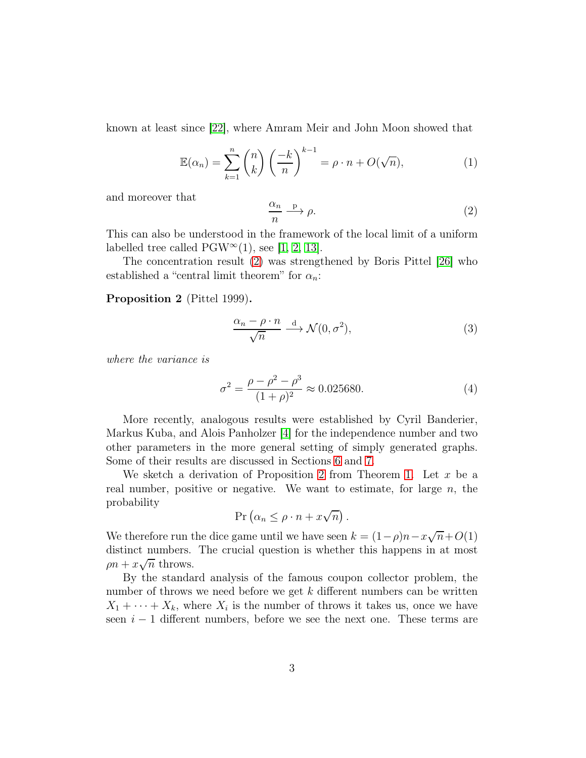known at least since [\[22\]](#page-18-2), where Amram Meir and John Moon showed that

$$
\mathbb{E}(\alpha_n) = \sum_{k=1}^n \binom{n}{k} \left(\frac{-k}{n}\right)^{k-1} = \rho \cdot n + O(\sqrt{n}),\tag{1}
$$

and moreover that

<span id="page-2-0"></span>
$$
\frac{\alpha_n}{n} \xrightarrow{p} \rho.
$$
 (2)

This can also be understood in the framework of the local limit of a uniform labelled tree called  $PGW^{\infty}(1)$ , see [\[1,](#page-16-0) [2,](#page-16-1) [13\]](#page-17-8).

The concentration result [\(2\)](#page-2-0) was strengthened by Boris Pittel [\[26\]](#page-18-3) who established a "central limit theorem" for  $\alpha_n$ :

#### <span id="page-2-1"></span>Proposition 2 (Pittel 1999).

<span id="page-2-2"></span>
$$
\frac{\alpha_n - \rho \cdot n}{\sqrt{n}} \xrightarrow{d} \mathcal{N}(0, \sigma^2), \tag{3}
$$

where the variance is

<span id="page-2-3"></span>
$$
\sigma^2 = \frac{\rho - \rho^2 - \rho^3}{(1 + \rho)^2} \approx 0.025680.
$$
 (4)

More recently, analogous results were established by Cyril Banderier, Markus Kuba, and Alois Panholzer [\[4\]](#page-17-3) for the independence number and two other parameters in the more general setting of simply generated graphs. Some of their results are discussed in Sections [6](#page-10-0) and [7.](#page-12-0)

We sketch a derivation of Proposition [2](#page-2-1) from Theorem [1.](#page-0-0) Let  $x$  be a real number, positive or negative. We want to estimate, for large  $n$ , the probability

$$
\Pr\left(\alpha_n \leq \rho \cdot n + x\sqrt{n}\right).
$$

We therefore run the dice game until we have seen  $k = (1 - \rho)n - x\sqrt{n} + O(1)$ distinct numbers. The crucial question is whether this happens in at most  $\rho n + x\sqrt{n}$  throws.

By the standard analysis of the famous coupon collector problem, the number of throws we need before we get  $k$  different numbers can be written  $X_1 + \cdots + X_k$ , where  $X_i$  is the number of throws it takes us, once we have seen  $i - 1$  different numbers, before we see the next one. These terms are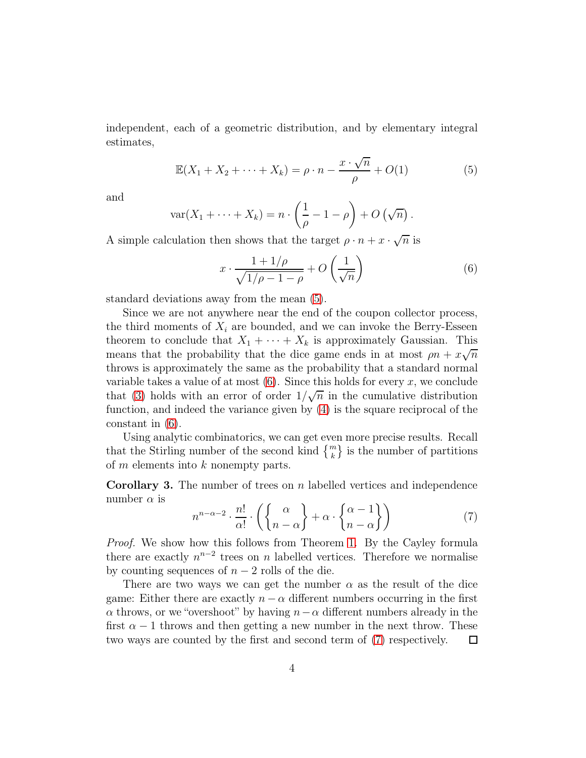independent, each of a geometric distribution, and by elementary integral estimates,

<span id="page-3-0"></span>
$$
\mathbb{E}(X_1 + X_2 + \dots + X_k) = \rho \cdot n - \frac{x \cdot \sqrt{n}}{\rho} + O(1)
$$
 (5)

and

$$
\text{var}(X_1 + \dots + X_k) = n \cdot \left(\frac{1}{\rho} - 1 - \rho\right) + O\left(\sqrt{n}\right).
$$

A simple calculation then shows that the target  $\rho \cdot n + x \cdot \sqrt{n}$  is

<span id="page-3-1"></span>
$$
x \cdot \frac{1 + 1/\rho}{\sqrt{1/\rho - 1 - \rho}} + O\left(\frac{1}{\sqrt{n}}\right) \tag{6}
$$

standard deviations away from the mean [\(5\)](#page-3-0).

Since we are not anywhere near the end of the coupon collector process, the third moments of  $X_i$  are bounded, and we can invoke the Berry-Esseen theorem to conclude that  $X_1 + \cdots + X_k$  is approximately Gaussian. This means that the probability that the dice game ends in at most  $\rho n + x\sqrt{n}$ throws is approximately the same as the probability that a standard normal variable takes a value of at most  $(6)$ . Since this holds for every x, we conclude that [\(3\)](#page-2-2) holds with an error of order  $1/\sqrt{n}$  in the cumulative distribution function, and indeed the variance given by [\(4\)](#page-2-3) is the square reciprocal of the constant in [\(6\)](#page-3-1).

Using analytic combinatorics, we can get even more precise results. Recall that the Stirling number of the second kind  $\{^{m}_{k}\}$  is the number of partitions of  $m$  elements into  $k$  nonempty parts.

**Corollary 3.** The number of trees on  $n$  labelled vertices and independence number  $\alpha$  is

<span id="page-3-2"></span>
$$
n^{n-\alpha-2} \cdot \frac{n!}{\alpha!} \cdot \left( \left\{ \frac{\alpha}{n-\alpha} \right\} + \alpha \cdot \left\{ \frac{\alpha-1}{n-\alpha} \right\} \right) \tag{7}
$$

Proof. We show how this follows from Theorem [1.](#page-0-0) By the Cayley formula there are exactly  $n^{n-2}$  trees on n labelled vertices. Therefore we normalise by counting sequences of  $n-2$  rolls of the die.

There are two ways we can get the number  $\alpha$  as the result of the dice game: Either there are exactly  $n - \alpha$  different numbers occurring in the first  $\alpha$  throws, or we "overshoot" by having  $n-\alpha$  different numbers already in the first  $\alpha - 1$  throws and then getting a new number in the next throw. These two ways are counted by the first and second term of [\(7\)](#page-3-2) respectively.  $\Box$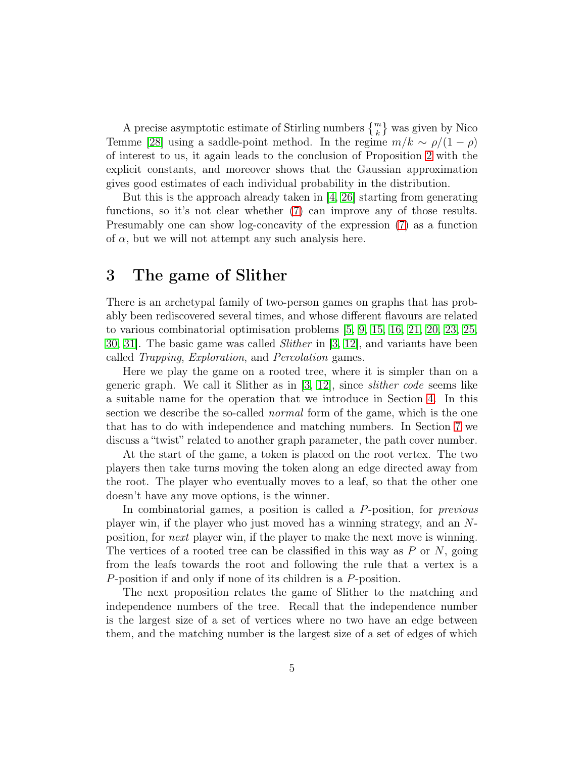A precise asymptotic estimate of Stirling numbers  $\{^m_k\}$  was given by Nico Temme [\[28\]](#page-19-3) using a saddle-point method. In the regime  $m/k \sim \rho/(1-\rho)$ of interest to us, it again leads to the conclusion of Proposition [2](#page-2-1) with the explicit constants, and moreover shows that the Gaussian approximation gives good estimates of each individual probability in the distribution.

But this is the approach already taken in [\[4,](#page-17-3) [26\]](#page-18-3) starting from generating functions, so it's not clear whether [\(7\)](#page-3-2) can improve any of those results. Presumably one can show log-concavity of the expression [\(7\)](#page-3-2) as a function of  $\alpha$ , but we will not attempt any such analysis here.

### 3 The game of Slither

There is an archetypal family of two-person games on graphs that has probably been rediscovered several times, and whose different flavours are related to various combinatorial optimisation problems [\[5,](#page-17-9) [9,](#page-17-0) [15,](#page-18-4) [16,](#page-18-5) [21,](#page-18-6) [20,](#page-18-7) [23,](#page-18-8) [25,](#page-18-9) [30,](#page-19-4) 31. The basic game was called *Slither* in  $[3, 12]$  $[3, 12]$ , and variants have been called Trapping, Exploration, and Percolation games.

Here we play the game on a rooted tree, where it is simpler than on a generic graph. We call it Slither as in [\[3,](#page-17-10) [12\]](#page-17-11), since slither code seems like a suitable name for the operation that we introduce in Section [4.](#page-5-0) In this section we describe the so-called *normal* form of the game, which is the one that has to do with independence and matching numbers. In Section [7](#page-12-0) we discuss a "twist" related to another graph parameter, the path cover number.

At the start of the game, a token is placed on the root vertex. The two players then take turns moving the token along an edge directed away from the root. The player who eventually moves to a leaf, so that the other one doesn't have any move options, is the winner.

In combinatorial games, a position is called a P-position, for *previous* player win, if the player who just moved has a winning strategy, and an Nposition, for next player win, if the player to make the next move is winning. The vertices of a rooted tree can be classified in this way as  $P$  or  $N$ , going from the leafs towards the root and following the rule that a vertex is a P-position if and only if none of its children is a P-position.

The next proposition relates the game of Slither to the matching and independence numbers of the tree. Recall that the independence number is the largest size of a set of vertices where no two have an edge between them, and the matching number is the largest size of a set of edges of which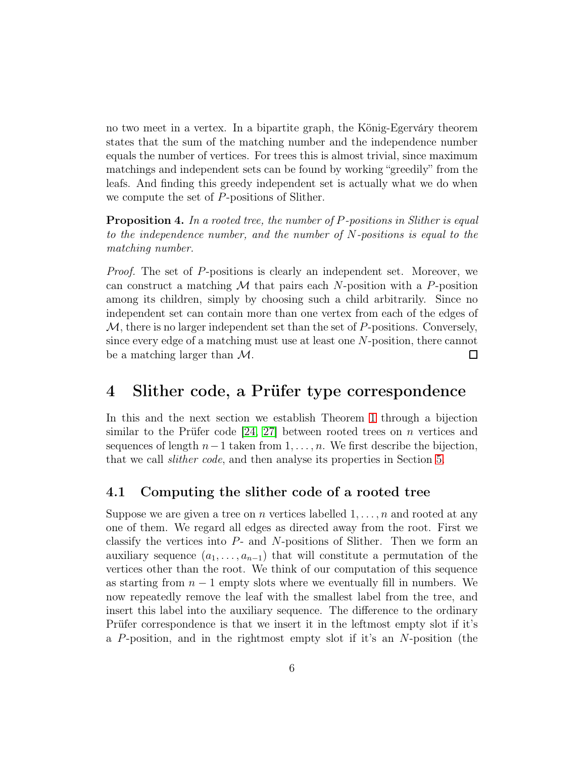no two meet in a vertex. In a bipartite graph, the König-Egerváry theorem states that the sum of the matching number and the independence number equals the number of vertices. For trees this is almost trivial, since maximum matchings and independent sets can be found by working "greedily" from the leafs. And finding this greedy independent set is actually what we do when we compute the set of P-positions of Slither.

<span id="page-5-1"></span>Proposition 4. In a rooted tree, the number of P-positions in Slither is equal to the independence number, and the number of N-positions is equal to the matching number.

Proof. The set of P-positions is clearly an independent set. Moreover, we can construct a matching  $M$  that pairs each N-position with a P-position among its children, simply by choosing such a child arbitrarily. Since no independent set can contain more than one vertex from each of the edges of  $M$ , there is no larger independent set than the set of P-positions. Conversely, since every edge of a matching must use at least one N-position, there cannot be a matching larger than M.  $\Box$ 

### <span id="page-5-0"></span>4 Slither code, a Prüfer type correspondence

In this and the next section we establish Theorem [1](#page-0-0) through a bijection similar to the Prüfer code  $[24, 27]$  $[24, 27]$  between rooted trees on *n* vertices and sequences of length  $n-1$  taken from  $1, \ldots, n$ . We first describe the bijection, that we call slither code, and then analyse its properties in Section [5.](#page-7-0)

#### <span id="page-5-2"></span>4.1 Computing the slither code of a rooted tree

Suppose we are given a tree on n vertices labelled  $1, \ldots, n$  and rooted at any one of them. We regard all edges as directed away from the root. First we classify the vertices into  $P$ - and  $N$ -positions of Slither. Then we form an auxiliary sequence  $(a_1, \ldots, a_{n-1})$  that will constitute a permutation of the vertices other than the root. We think of our computation of this sequence as starting from  $n-1$  empty slots where we eventually fill in numbers. We now repeatedly remove the leaf with the smallest label from the tree, and insert this label into the auxiliary sequence. The difference to the ordinary Prüfer correspondence is that we insert it in the leftmost empty slot if it's a P-position, and in the rightmost empty slot if it's an N-position (the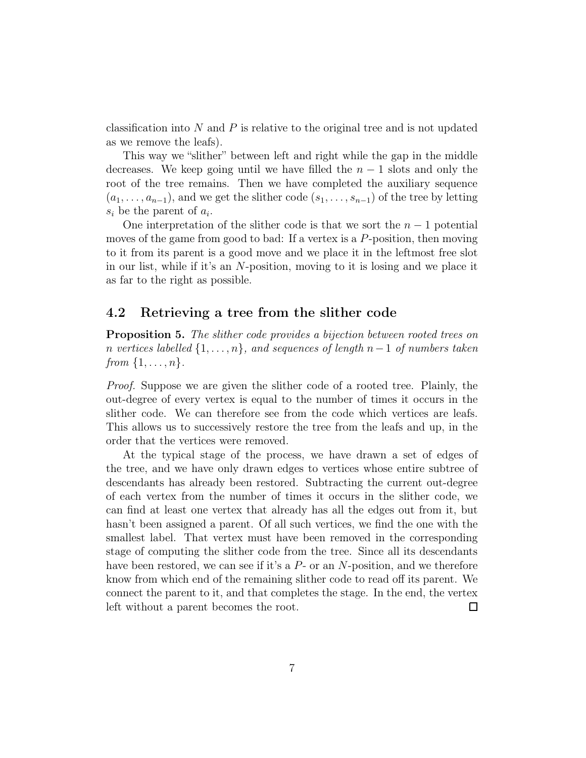classification into N and P is relative to the original tree and is not updated as we remove the leafs).

This way we "slither" between left and right while the gap in the middle decreases. We keep going until we have filled the  $n-1$  slots and only the root of the tree remains. Then we have completed the auxiliary sequence  $(a_1, \ldots, a_{n-1})$ , and we get the slither code  $(s_1, \ldots, s_{n-1})$  of the tree by letting  $s_i$  be the parent of  $a_i$ .

One interpretation of the slither code is that we sort the  $n-1$  potential moves of the game from good to bad: If a vertex is a  $P$ -position, then moving to it from its parent is a good move and we place it in the leftmost free slot in our list, while if it's an N-position, moving to it is losing and we place it as far to the right as possible.

#### <span id="page-6-0"></span>4.2 Retrieving a tree from the slither code

Proposition 5. The slither code provides a bijection between rooted trees on n vertices labelled  $\{1,\ldots,n\}$ , and sequences of length n – 1 of numbers taken from  $\{1,\ldots,n\}$ .

Proof. Suppose we are given the slither code of a rooted tree. Plainly, the out-degree of every vertex is equal to the number of times it occurs in the slither code. We can therefore see from the code which vertices are leafs. This allows us to successively restore the tree from the leafs and up, in the order that the vertices were removed.

At the typical stage of the process, we have drawn a set of edges of the tree, and we have only drawn edges to vertices whose entire subtree of descendants has already been restored. Subtracting the current out-degree of each vertex from the number of times it occurs in the slither code, we can find at least one vertex that already has all the edges out from it, but hasn't been assigned a parent. Of all such vertices, we find the one with the smallest label. That vertex must have been removed in the corresponding stage of computing the slither code from the tree. Since all its descendants have been restored, we can see if it's a  $P$ - or an  $N$ -position, and we therefore know from which end of the remaining slither code to read off its parent. We connect the parent to it, and that completes the stage. In the end, the vertex left without a parent becomes the root.  $\Box$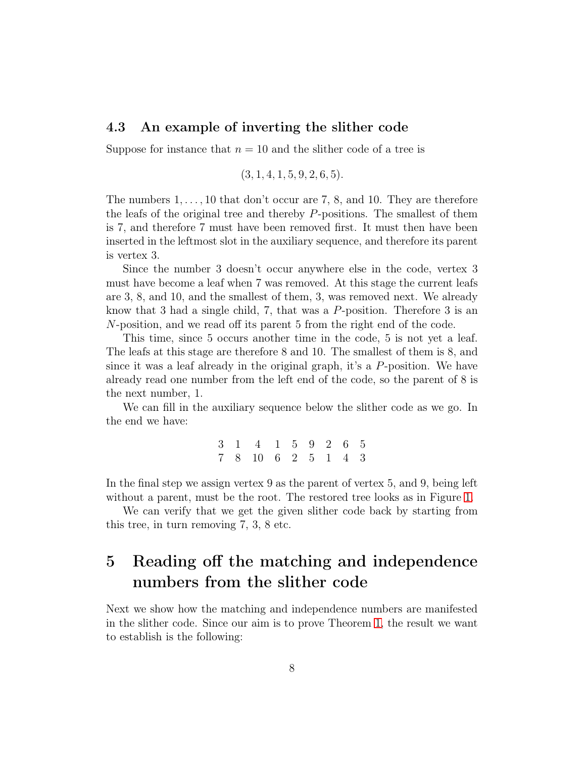#### 4.3 An example of inverting the slither code

Suppose for instance that  $n = 10$  and the slither code of a tree is

$$
(3, 1, 4, 1, 5, 9, 2, 6, 5).
$$

The numbers  $1, \ldots, 10$  that don't occur are 7, 8, and 10. They are therefore the leafs of the original tree and thereby P-positions. The smallest of them is 7, and therefore 7 must have been removed first. It must then have been inserted in the leftmost slot in the auxiliary sequence, and therefore its parent is vertex 3.

Since the number 3 doesn't occur anywhere else in the code, vertex 3 must have become a leaf when 7 was removed. At this stage the current leafs are 3, 8, and 10, and the smallest of them, 3, was removed next. We already know that 3 had a single child, 7, that was a  $P$ -position. Therefore 3 is an N-position, and we read off its parent 5 from the right end of the code.

This time, since 5 occurs another time in the code, 5 is not yet a leaf. The leafs at this stage are therefore 8 and 10. The smallest of them is 8, and since it was a leaf already in the original graph, it's a  $P$ -position. We have already read one number from the left end of the code, so the parent of 8 is the next number, 1.

We can fill in the auxiliary sequence below the slither code as we go. In the end we have:

> 3 1 4 1 5 9 2 6 5 7 8 10 6 2 5 1 4 3

In the final step we assign vertex 9 as the parent of vertex 5, and 9, being left without a parent, must be the root. The restored tree looks as in Figure [1.](#page-8-0)

We can verify that we get the given slither code back by starting from this tree, in turn removing 7, 3, 8 etc.

# <span id="page-7-0"></span>5 Reading off the matching and independence numbers from the slither code

Next we show how the matching and independence numbers are manifested in the slither code. Since our aim is to prove Theorem [1,](#page-0-0) the result we want to establish is the following: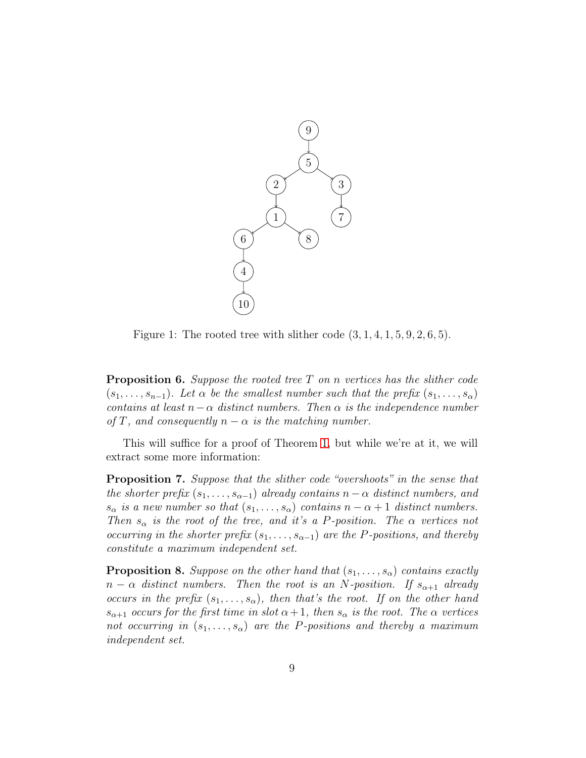

<span id="page-8-0"></span>Figure 1: The rooted tree with slither code  $(3, 1, 4, 1, 5, 9, 2, 6, 5)$ .

<span id="page-8-1"></span>**Proposition 6.** Suppose the rooted tree  $T$  on n vertices has the slither code  $(s_1, \ldots, s_{n-1})$ . Let  $\alpha$  be the smallest number such that the prefix  $(s_1, \ldots, s_{\alpha})$ contains at least  $n-\alpha$  distinct numbers. Then  $\alpha$  is the independence number of T, and consequently  $n - \alpha$  is the matching number.

This will suffice for a proof of Theorem [1,](#page-0-0) but while we're at it, we will extract some more information:

<span id="page-8-2"></span>Proposition 7. Suppose that the slither code "overshoots" in the sense that the shorter prefix  $(s_1, \ldots, s_{\alpha-1})$  already contains  $n - \alpha$  distinct numbers, and  $s_{\alpha}$  is a new number so that  $(s_1, \ldots, s_{\alpha})$  contains  $n - \alpha + 1$  distinct numbers. Then  $s_{\alpha}$  is the root of the tree, and it's a P-position. The  $\alpha$  vertices not occurring in the shorter prefix  $(s_1, \ldots, s_{\alpha-1})$  are the P-positions, and thereby constitute a maximum independent set.

<span id="page-8-3"></span>**Proposition 8.** Suppose on the other hand that  $(s_1, \ldots, s_\alpha)$  contains exactly  $n - \alpha$  distinct numbers. Then the root is an N-position. If  $s_{\alpha+1}$  already occurs in the prefix  $(s_1, \ldots, s_\alpha)$ , then that's the root. If on the other hand  $s_{\alpha+1}$  occurs for the first time in slot  $\alpha+1$ , then  $s_{\alpha}$  is the root. The  $\alpha$  vertices not occurring in  $(s_1, \ldots, s_\alpha)$  are the P-positions and thereby a maximum independent set.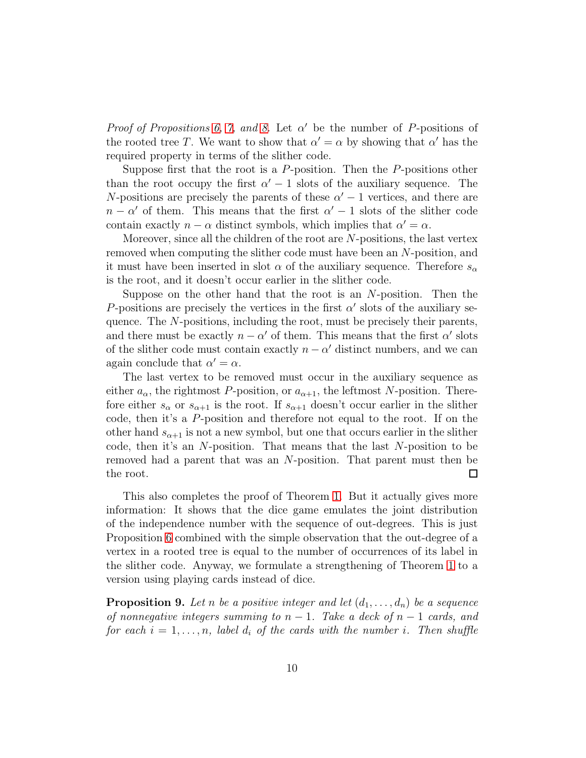Proof of Propositions [6,](#page-8-1) [7,](#page-8-2) and [8.](#page-8-3) Let  $\alpha'$  be the number of P-positions of the rooted tree T. We want to show that  $\alpha' = \alpha$  by showing that  $\alpha'$  has the required property in terms of the slither code.

Suppose first that the root is a  $P$ -position. Then the  $P$ -positions other than the root occupy the first  $\alpha' - 1$  slots of the auxiliary sequence. The N-positions are precisely the parents of these  $\alpha' - 1$  vertices, and there are  $n - \alpha'$  of them. This means that the first  $\alpha' - 1$  slots of the slither code contain exactly  $n - \alpha$  distinct symbols, which implies that  $\alpha' = \alpha$ .

Moreover, since all the children of the root are  $N$ -positions, the last vertex removed when computing the slither code must have been an N-position, and it must have been inserted in slot  $\alpha$  of the auxiliary sequence. Therefore  $s_{\alpha}$ is the root, and it doesn't occur earlier in the slither code.

Suppose on the other hand that the root is an N-position. Then the P-positions are precisely the vertices in the first  $\alpha'$  slots of the auxiliary sequence. The N-positions, including the root, must be precisely their parents, and there must be exactly  $n - \alpha'$  of them. This means that the first  $\alpha'$  slots of the slither code must contain exactly  $n - \alpha'$  distinct numbers, and we can again conclude that  $\alpha' = \alpha$ .

The last vertex to be removed must occur in the auxiliary sequence as either  $a_{\alpha}$ , the rightmost P-position, or  $a_{\alpha+1}$ , the leftmost N-position. Therefore either  $s_{\alpha}$  or  $s_{\alpha+1}$  is the root. If  $s_{\alpha+1}$  doesn't occur earlier in the slither code, then it's a P-position and therefore not equal to the root. If on the other hand  $s_{\alpha+1}$  is not a new symbol, but one that occurs earlier in the slither code, then it's an N-position. That means that the last N-position to be removed had a parent that was an N-position. That parent must then be the root.  $\Box$ 

This also completes the proof of Theorem [1.](#page-0-0) But it actually gives more information: It shows that the dice game emulates the joint distribution of the independence number with the sequence of out-degrees. This is just Proposition [6](#page-8-1) combined with the simple observation that the out-degree of a vertex in a rooted tree is equal to the number of occurrences of its label in the slither code. Anyway, we formulate a strengthening of Theorem [1](#page-0-0) to a version using playing cards instead of dice.

<span id="page-9-0"></span>**Proposition 9.** Let n be a positive integer and let  $(d_1, \ldots, d_n)$  be a sequence of nonnegative integers summing to  $n-1$ . Take a deck of  $n-1$  cards, and for each  $i = 1, \ldots, n$ , label  $d_i$  of the cards with the number i. Then shuffle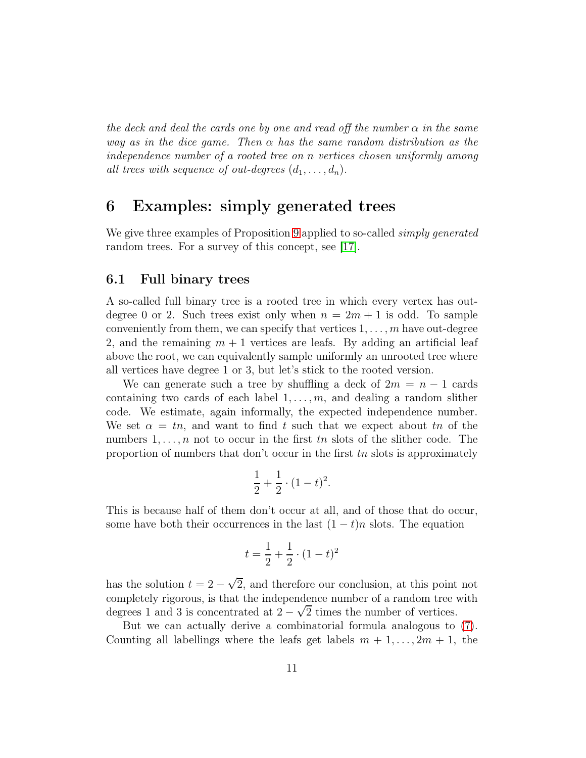the deck and deal the cards one by one and read off the number  $\alpha$  in the same way as in the dice game. Then  $\alpha$  has the same random distribution as the independence number of a rooted tree on n vertices chosen uniformly among all trees with sequence of out-degrees  $(d_1, \ldots, d_n)$ .

### <span id="page-10-0"></span>6 Examples: simply generated trees

We give three examples of Proposition [9](#page-9-0) applied to so-called *simply generated* random trees. For a survey of this concept, see [\[17\]](#page-18-11).

#### 6.1 Full binary trees

A so-called full binary tree is a rooted tree in which every vertex has outdegree 0 or 2. Such trees exist only when  $n = 2m + 1$  is odd. To sample conveniently from them, we can specify that vertices  $1, \ldots, m$  have out-degree 2, and the remaining  $m + 1$  vertices are leafs. By adding an artificial leaf above the root, we can equivalently sample uniformly an unrooted tree where all vertices have degree 1 or 3, but let's stick to the rooted version.

We can generate such a tree by shuffling a deck of  $2m = n - 1$  cards containing two cards of each label  $1, \ldots, m$ , and dealing a random slither code. We estimate, again informally, the expected independence number. We set  $\alpha = tn$ , and want to find t such that we expect about tn of the numbers  $1, \ldots, n$  not to occur in the first tn slots of the slither code. The proportion of numbers that don't occur in the first  $tn$  slots is approximately

$$
\frac{1}{2} + \frac{1}{2} \cdot (1 - t)^2.
$$

This is because half of them don't occur at all, and of those that do occur, some have both their occurrences in the last  $(1-t)n$  slots. The equation

$$
t = \frac{1}{2} + \frac{1}{2} \cdot (1 - t)^2
$$

has the solution  $t = 2 - \sqrt{2}$ , and therefore our conclusion, at this point not completely rigorous, is that the independence number of a random tree with degrees 1 and 3 is concentrated at  $2 - \sqrt{2}$  times the number of vertices.

But we can actually derive a combinatorial formula analogous to [\(7\)](#page-3-2). Counting all labellings where the leafs get labels  $m + 1, \ldots, 2m + 1$ , the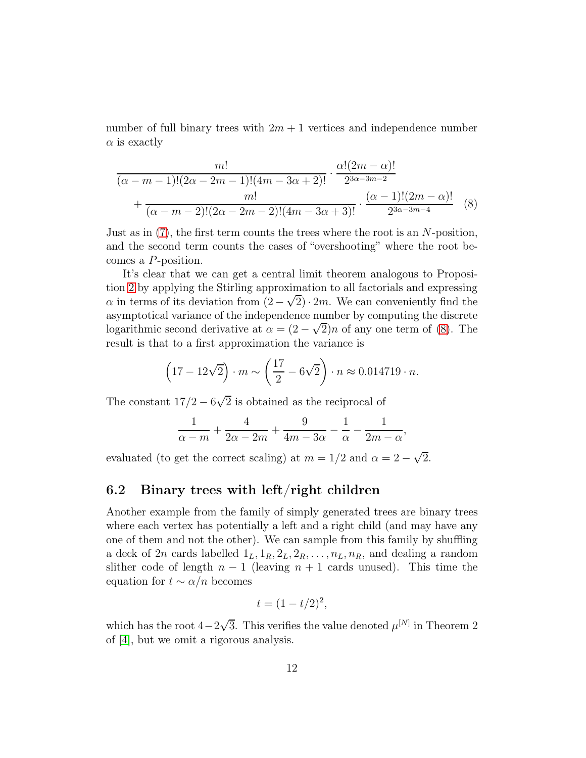number of full binary trees with  $2m + 1$  vertices and independence number  $\alpha$  is exactly

$$
\frac{m!}{(\alpha - m - 1)!(2\alpha - 2m - 1)!(4m - 3\alpha + 2)!} \cdot \frac{\alpha!(2m - \alpha)!}{2^{3\alpha - 3m - 2}} + \frac{m!}{(\alpha - m - 2)!(2\alpha - 2m - 2)!(4m - 3\alpha + 3)!} \cdot \frac{(\alpha - 1)!(2m - \alpha)!}{2^{3\alpha - 3m - 4}} \quad (8)
$$

Just as in  $(7)$ , the first term counts the trees where the root is an N-position, and the second term counts the cases of "overshooting" where the root becomes a P-position.

It's clear that we can get a central limit theorem analogous to Proposition [2](#page-2-1) by applying the Stirling approximation to all factorials and expressing  $\alpha$  in terms of its deviation from  $(2-\sqrt{2})\cdot 2m$ . We can conveniently find the asymptotical variance of the independence number by computing the discrete logarithmic second derivative at  $\alpha = (2 - \sqrt{2})n$  of any one term of [\(8\)](#page-11-0). The result is that to a first approximation the variance is

<span id="page-11-0"></span>
$$
(17-12\sqrt{2}) \cdot m \sim \left(\frac{17}{2} - 6\sqrt{2}\right) \cdot n \approx 0.014719 \cdot n.
$$

The constant  $17/2 - 6\sqrt{2}$  is obtained as the reciprocal of

$$
\frac{1}{\alpha-m} + \frac{4}{2\alpha-2m} + \frac{9}{4m-3\alpha} - \frac{1}{\alpha} - \frac{1}{2m-\alpha},
$$

evaluated (to get the correct scaling) at  $m = 1/2$  and  $\alpha = 2 - \sqrt{2}$ .

#### 6.2 Binary trees with left/right children

Another example from the family of simply generated trees are binary trees where each vertex has potentially a left and a right child (and may have any one of them and not the other). We can sample from this family by shuffling a deck of 2n cards labelled  $1_L, 1_R, 2_L, 2_R, \ldots, n_L, n_R$ , and dealing a random slither code of length  $n-1$  (leaving  $n+1$  cards unused). This time the equation for  $t \sim \alpha/n$  becomes

$$
t=(1-t/2)^2,
$$

which has the root  $4-2\sqrt{3}$ . This verifies the value denoted  $\mu^{[N]}$  in Theorem 2 of [\[4\]](#page-17-3), but we omit a rigorous analysis.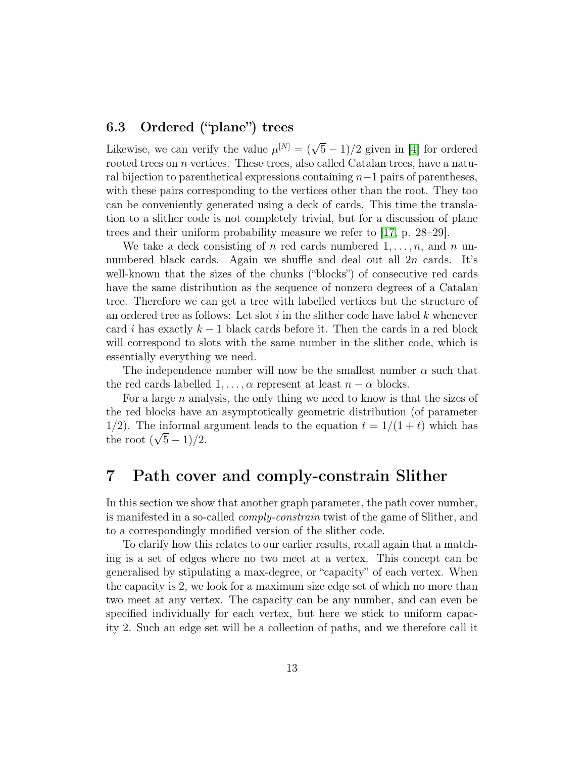### 6.3 Ordered ("plane") trees

Likewise, we can verify the value  $\mu^{[N]} = (\sqrt{5} - 1)/2$  given in [\[4\]](#page-17-3) for ordered rooted trees on  $n$  vertices. These trees, also called Catalan trees, have a natural bijection to parenthetical expressions containing  $n-1$  pairs of parentheses, with these pairs corresponding to the vertices other than the root. They too can be conveniently generated using a deck of cards. This time the translation to a slither code is not completely trivial, but for a discussion of plane trees and their uniform probability measure we refer to [\[17,](#page-18-11) p. 28–29].

We take a deck consisting of n red cards numbered  $1, \ldots, n$ , and n unnumbered black cards. Again we shuffle and deal out all  $2n$  cards. It's well-known that the sizes of the chunks ("blocks") of consecutive red cards have the same distribution as the sequence of nonzero degrees of a Catalan tree. Therefore we can get a tree with labelled vertices but the structure of an ordered tree as follows: Let slot  $i$  in the slither code have label  $k$  whenever card i has exactly  $k-1$  black cards before it. Then the cards in a red block will correspond to slots with the same number in the slither code, which is essentially everything we need.

The independence number will now be the smallest number  $\alpha$  such that the red cards labelled  $1, \ldots, \alpha$  represent at least  $n - \alpha$  blocks.

For a large *n* analysis, the only thing we need to know is that the sizes of the red blocks have an asymptotically geometric distribution (of parameter 1/2). The informal argument leads to the equation  $t = 1/(1 + t)$  which has the root  $(\sqrt{5}-1)/2$ .

### <span id="page-12-0"></span>7 Path cover and comply-constrain Slither

In this section we show that another graph parameter, the path cover number, is manifested in a so-called comply-constrain twist of the game of Slither, and to a correspondingly modified version of the slither code.

To clarify how this relates to our earlier results, recall again that a matching is a set of edges where no two meet at a vertex. This concept can be generalised by stipulating a max-degree, or "capacity" of each vertex. When the capacity is 2, we look for a maximum size edge set of which no more than two meet at any vertex. The capacity can be any number, and can even be specified individually for each vertex, but here we stick to uniform capacity 2. Such an edge set will be a collection of paths, and we therefore call it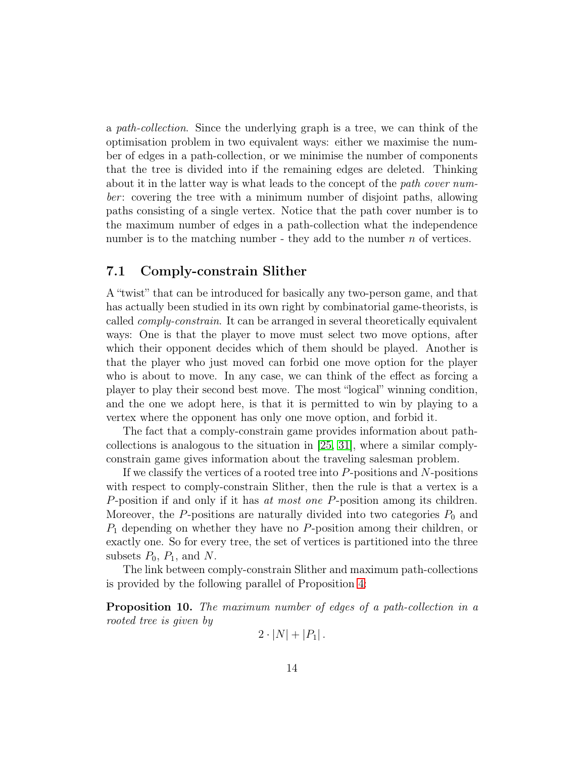a path-collection. Since the underlying graph is a tree, we can think of the optimisation problem in two equivalent ways: either we maximise the number of edges in a path-collection, or we minimise the number of components that the tree is divided into if the remaining edges are deleted. Thinking about it in the latter way is what leads to the concept of the path cover number: covering the tree with a minimum number of disjoint paths, allowing paths consisting of a single vertex. Notice that the path cover number is to the maximum number of edges in a path-collection what the independence number is to the matching number - they add to the number  $n$  of vertices.

#### 7.1 Comply-constrain Slither

A "twist" that can be introduced for basically any two-person game, and that has actually been studied in its own right by combinatorial game-theorists, is called comply-constrain. It can be arranged in several theoretically equivalent ways: One is that the player to move must select two move options, after which their opponent decides which of them should be played. Another is that the player who just moved can forbid one move option for the player who is about to move. In any case, we can think of the effect as forcing a player to play their second best move. The most "logical" winning condition, and the one we adopt here, is that it is permitted to win by playing to a vertex where the opponent has only one move option, and forbid it.

The fact that a comply-constrain game provides information about pathcollections is analogous to the situation in [\[25,](#page-18-9) [31\]](#page-19-0), where a similar complyconstrain game gives information about the traveling salesman problem.

If we classify the vertices of a rooted tree into  $P$ -positions and  $N$ -positions with respect to comply-constrain Slither, then the rule is that a vertex is a P-position if and only if it has at most one P-position among its children. Moreover, the P-positions are naturally divided into two categories  $P_0$  and  $P_1$  depending on whether they have no P-position among their children, or exactly one. So for every tree, the set of vertices is partitioned into the three subsets  $P_0$ ,  $P_1$ , and N.

The link between comply-constrain Slither and maximum path-collections is provided by the following parallel of Proposition [4:](#page-5-1)

**Proposition 10.** The maximum number of edges of a path-collection in a rooted tree is given by

$$
2\cdot |N|+|P_1|.
$$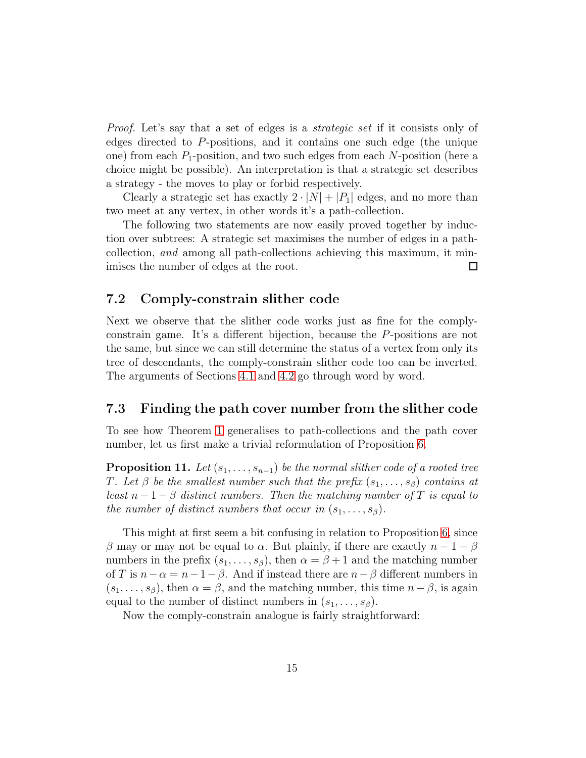Proof. Let's say that a set of edges is a strategic set if it consists only of edges directed to P-positions, and it contains one such edge (the unique one) from each  $P_1$ -position, and two such edges from each N-position (here a choice might be possible). An interpretation is that a strategic set describes a strategy - the moves to play or forbid respectively.

Clearly a strategic set has exactly  $2 \cdot |N| + |P_1|$  edges, and no more than two meet at any vertex, in other words it's a path-collection.

The following two statements are now easily proved together by induction over subtrees: A strategic set maximises the number of edges in a pathcollection, and among all path-collections achieving this maximum, it minimises the number of edges at the root.  $\Box$ 

#### 7.2 Comply-constrain slither code

Next we observe that the slither code works just as fine for the complyconstrain game. It's a different bijection, because the P-positions are not the same, but since we can still determine the status of a vertex from only its tree of descendants, the comply-constrain slither code too can be inverted. The arguments of Sections [4.1](#page-5-2) and [4.2](#page-6-0) go through word by word.

#### 7.3 Finding the path cover number from the slither code

To see how Theorem [1](#page-0-0) generalises to path-collections and the path cover number, let us first make a trivial reformulation of Proposition [6.](#page-8-1)

**Proposition 11.** Let  $(s_1, \ldots, s_{n-1})$  be the normal slither code of a rooted tree T. Let  $\beta$  be the smallest number such that the prefix  $(s_1, \ldots, s_\beta)$  contains at least  $n-1-\beta$  distinct numbers. Then the matching number of T is equal to the number of distinct numbers that occur in  $(s_1, \ldots, s_\beta)$ .

This might at first seem a bit confusing in relation to Proposition [6,](#page-8-1) since β may or may not be equal to  $\alpha$ . But plainly, if there are exactly  $n-1-\beta$ numbers in the prefix  $(s_1, \ldots, s_\beta)$ , then  $\alpha = \beta + 1$  and the matching number of T is  $n-\alpha = n-1-\beta$ . And if instead there are  $n-\beta$  different numbers in  $(s_1, \ldots, s_\beta)$ , then  $\alpha = \beta$ , and the matching number, this time  $n - \beta$ , is again equal to the number of distinct numbers in  $(s_1, \ldots, s_\beta)$ .

Now the comply-constrain analogue is fairly straightforward: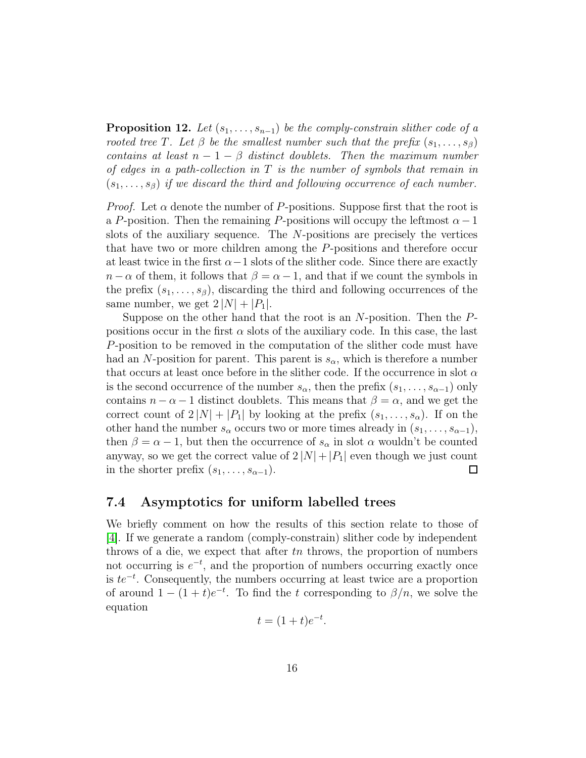**Proposition 12.** Let  $(s_1, \ldots, s_{n-1})$  be the comply-constrain slither code of a rooted tree T. Let  $\beta$  be the smallest number such that the prefix  $(s_1, \ldots, s_\beta)$ contains at least  $n - 1 - \beta$  distinct doublets. Then the maximum number of edges in a path-collection in  $T$  is the number of symbols that remain in  $(s_1, \ldots, s_\beta)$  if we discard the third and following occurrence of each number.

*Proof.* Let  $\alpha$  denote the number of P-positions. Suppose first that the root is a P-position. Then the remaining P-positions will occupy the leftmost  $\alpha-1$ slots of the auxiliary sequence. The N-positions are precisely the vertices that have two or more children among the P-positions and therefore occur at least twice in the first  $\alpha-1$  slots of the slither code. Since there are exactly  $n - \alpha$  of them, it follows that  $\beta = \alpha - 1$ , and that if we count the symbols in the prefix  $(s_1, \ldots, s_\beta)$ , discarding the third and following occurrences of the same number, we get  $2 |N| + |P_1|$ .

Suppose on the other hand that the root is an  $N$ -position. Then the  $P$ positions occur in the first  $\alpha$  slots of the auxiliary code. In this case, the last P-position to be removed in the computation of the slither code must have had an N-position for parent. This parent is  $s_{\alpha}$ , which is therefore a number that occurs at least once before in the slither code. If the occurrence in slot  $\alpha$ is the second occurrence of the number  $s_{\alpha}$ , then the prefix  $(s_1, \ldots, s_{\alpha-1})$  only contains  $n - \alpha - 1$  distinct doublets. This means that  $\beta = \alpha$ , and we get the correct count of  $2|N| + |P_1|$  by looking at the prefix  $(s_1, \ldots, s_\alpha)$ . If on the other hand the number  $s_{\alpha}$  occurs two or more times already in  $(s_1, \ldots, s_{\alpha-1}),$ then  $\beta = \alpha - 1$ , but then the occurrence of  $s_{\alpha}$  in slot  $\alpha$  wouldn't be counted anyway, so we get the correct value of  $2|N| + |P_1|$  even though we just count in the shorter prefix  $(s_1, \ldots, s_{\alpha-1})$ . in the shorter prefix  $(s_1, \ldots, s_{\alpha-1})$ .

#### 7.4 Asymptotics for uniform labelled trees

We briefly comment on how the results of this section relate to those of [\[4\]](#page-17-3). If we generate a random (comply-constrain) slither code by independent throws of a die, we expect that after tn throws, the proportion of numbers not occurring is  $e^{-t}$ , and the proportion of numbers occurring exactly once is  $te^{-t}$ . Consequently, the numbers occurring at least twice are a proportion of around  $1 - (1 + t)e^{-t}$ . To find the t corresponding to  $\beta/n$ , we solve the equation

$$
t = (1+t)e^{-t}.
$$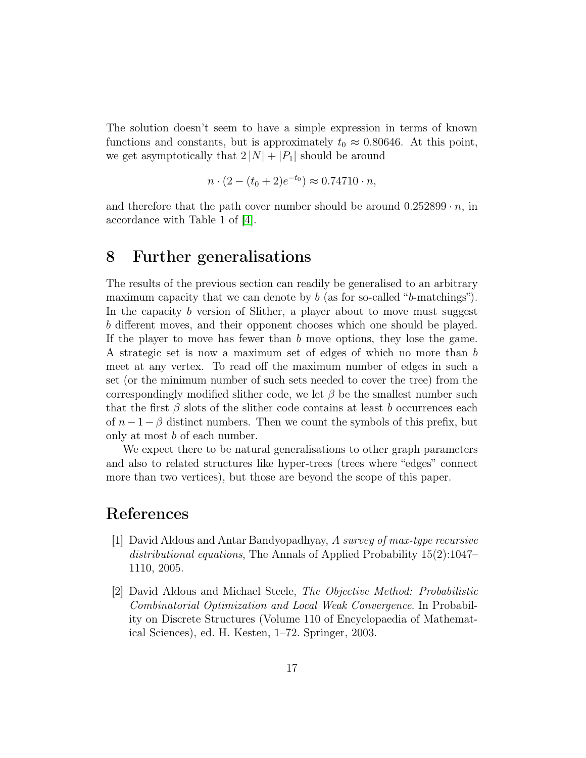The solution doesn't seem to have a simple expression in terms of known functions and constants, but is approximately  $t_0 \approx 0.80646$ . At this point, we get asymptotically that  $2 |N| + |P_1|$  should be around

$$
n \cdot (2 - (t_0 + 2)e^{-t_0}) \approx 0.74710 \cdot n,
$$

and therefore that the path cover number should be around  $0.252899 \cdot n$ , in accordance with Table 1 of [\[4\]](#page-17-3).

### 8 Further generalisations

The results of the previous section can readily be generalised to an arbitrary maximum capacity that we can denote by  $b$  (as for so-called "b-matchings"). In the capacity b version of Slither, a player about to move must suggest b different moves, and their opponent chooses which one should be played. If the player to move has fewer than  $b$  move options, they lose the game. A strategic set is now a maximum set of edges of which no more than b meet at any vertex. To read off the maximum number of edges in such a set (or the minimum number of such sets needed to cover the tree) from the correspondingly modified slither code, we let  $\beta$  be the smallest number such that the first  $\beta$  slots of the slither code contains at least b occurrences each of  $n-1-\beta$  distinct numbers. Then we count the symbols of this prefix, but only at most b of each number.

We expect there to be natural generalisations to other graph parameters and also to related structures like hyper-trees (trees where "edges" connect more than two vertices), but those are beyond the scope of this paper.

## <span id="page-16-0"></span>References

- [1] David Aldous and Antar Bandyopadhyay, A survey of max-type recursive distributional equations, The Annals of Applied Probability 15(2):1047– 1110, 2005.
- <span id="page-16-1"></span>[2] David Aldous and Michael Steele, The Objective Method: Probabilistic Combinatorial Optimization and Local Weak Convergence. In Probability on Discrete Structures (Volume 110 of Encyclopaedia of Mathematical Sciences), ed. H. Kesten, 1–72. Springer, 2003.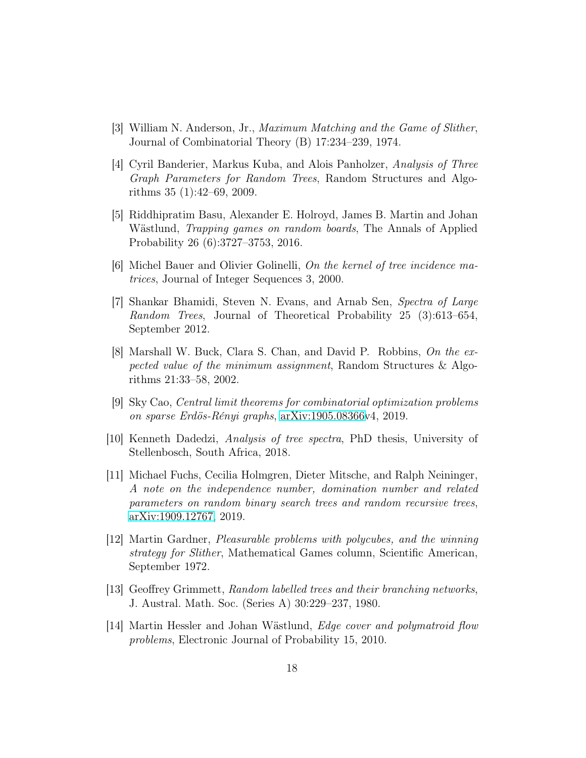- <span id="page-17-10"></span><span id="page-17-3"></span>[3] William N. Anderson, Jr., Maximum Matching and the Game of Slither, Journal of Combinatorial Theory (B) 17:234–239, 1974.
- [4] Cyril Banderier, Markus Kuba, and Alois Panholzer, Analysis of Three Graph Parameters for Random Trees, Random Structures and Algorithms 35 (1):42–69, 2009.
- <span id="page-17-9"></span>[5] Riddhipratim Basu, Alexander E. Holroyd, James B. Martin and Johan Wästlund, Trapping games on random boards, The Annals of Applied Probability 26 (6):3727–3753, 2016.
- <span id="page-17-7"></span><span id="page-17-6"></span>[6] Michel Bauer and Olivier Golinelli, On the kernel of tree incidence matrices, Journal of Integer Sequences 3, 2000.
- [7] Shankar Bhamidi, Steven N. Evans, and Arnab Sen, Spectra of Large Random Trees, Journal of Theoretical Probability 25 (3):613–654, September 2012.
- <span id="page-17-2"></span>[8] Marshall W. Buck, Clara S. Chan, and David P. Robbins, On the expected value of the minimum assignment, Random Structures & Algorithms 21:33–58, 2002.
- <span id="page-17-4"></span><span id="page-17-0"></span>[9] Sky Cao, Central limit theorems for combinatorial optimization problems on sparse Erdös-Rényi graphs, [arXiv:1905.08366v](http://arxiv.org/abs/1905.08366)4, 2019.
- [10] Kenneth Dadedzi, Analysis of tree spectra, PhD thesis, University of Stellenbosch, South Africa, 2018.
- <span id="page-17-5"></span>[11] Michael Fuchs, Cecilia Holmgren, Dieter Mitsche, and Ralph Neininger, A note on the independence number, domination number and related parameters on random binary search trees and random recursive trees, [arXiv:1909.12767,](http://arxiv.org/abs/1909.12767) 2019.
- <span id="page-17-11"></span>[12] Martin Gardner, Pleasurable problems with polycubes, and the winning strategy for Slither, Mathematical Games column, Scientific American, September 1972.
- <span id="page-17-8"></span>[13] Geoffrey Grimmett, Random labelled trees and their branching networks, J. Austral. Math. Soc. (Series A) 30:229–237, 1980.
- <span id="page-17-1"></span>[14] Martin Hessler and Johan Wästlund, Edge cover and polymatroid flow problems, Electronic Journal of Probability 15, 2010.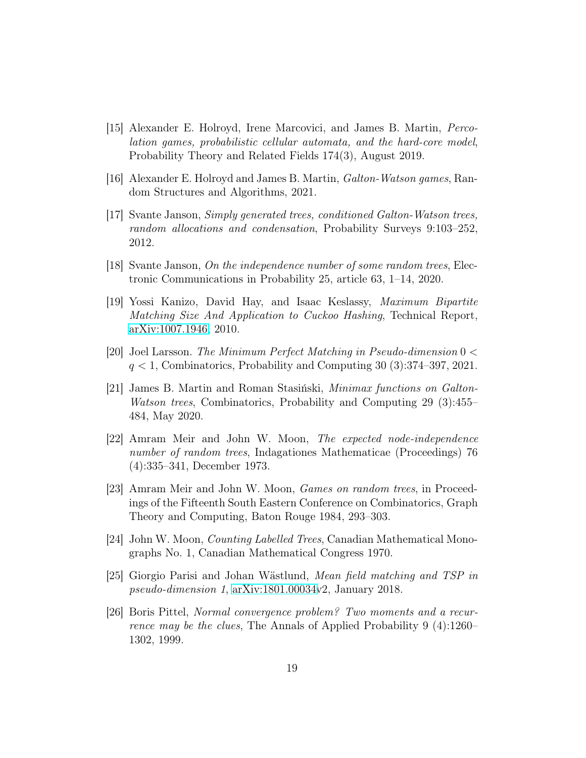- <span id="page-18-4"></span>[15] Alexander E. Holroyd, Irene Marcovici, and James B. Martin, Percolation games, probabilistic cellular automata, and the hard-core model, Probability Theory and Related Fields 174(3), August 2019.
- <span id="page-18-11"></span><span id="page-18-5"></span>[16] Alexander E. Holroyd and James B. Martin, Galton-Watson games, Random Structures and Algorithms, 2021.
- [17] Svante Janson, Simply generated trees, conditioned Galton-Watson trees, random allocations and condensation, Probability Surveys 9:103–252, 2012.
- <span id="page-18-1"></span><span id="page-18-0"></span>[18] Svante Janson, On the independence number of some random trees, Electronic Communications in Probability 25, article 63, 1–14, 2020.
- [19] Yossi Kanizo, David Hay, and Isaac Keslassy, Maximum Bipartite Matching Size And Application to Cuckoo Hashing, Technical Report, [arXiv:1007.1946,](http://arxiv.org/abs/1007.1946) 2010.
- <span id="page-18-7"></span><span id="page-18-6"></span>[20] Joel Larsson. The Minimum Perfect Matching in Pseudo-dimension 0 <  $q < 1$ , Combinatorics, Probability and Computing 30 (3):374–397, 2021.
- [21] James B. Martin and Roman Stasiński, Minimax functions on Galton-Watson trees, Combinatorics, Probability and Computing 29 (3):455– 484, May 2020.
- <span id="page-18-2"></span>[22] Amram Meir and John W. Moon, The expected node-independence number of random trees, Indagationes Mathematicae (Proceedings) 76 (4):335–341, December 1973.
- <span id="page-18-8"></span>[23] Amram Meir and John W. Moon, Games on random trees, in Proceedings of the Fifteenth South Eastern Conference on Combinatorics, Graph Theory and Computing, Baton Rouge 1984, 293–303.
- <span id="page-18-10"></span><span id="page-18-9"></span>[24] John W. Moon, Counting Labelled Trees, Canadian Mathematical Monographs No. 1, Canadian Mathematical Congress 1970.
- <span id="page-18-3"></span>[25] Giorgio Parisi and Johan Wästlund, Mean field matching and TSP in pseudo-dimension 1, [arXiv:1801.00034v](http://arxiv.org/abs/1801.00034)2, January 2018.
- [26] Boris Pittel, Normal convergence problem? Two moments and a recurrence may be the clues, The Annals of Applied Probability 9 (4):1260– 1302, 1999.